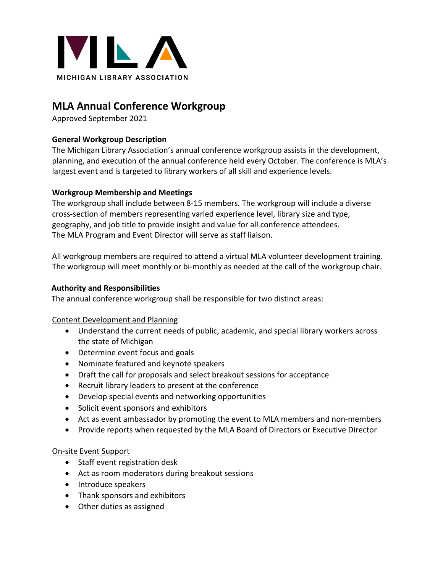

# **MLA Annual Conference Workgroup**

Approved September 2021

## **General Workgroup Description**

The Michigan Library Association's annual conference workgroup assists in the development, planning, and execution of the annual conference held every October. The conference is MLA's largest event and is targeted to library workers of all skill and experience levels.

## **Workgroup Membership and Meetings**

The workgroup shall include between 8-15 members. The workgroup will include a diverse cross-section of members representing varied experience level, library size and type, geography, and job title to provide insight and value for all conference attendees. The MLA Program and Event Director will serve as staff liaison.

All workgroup members are required to attend a virtual MLA volunteer development training. The workgroup will meet monthly or bi-monthly as needed at the call of the workgroup chair.

### **Authority and Responsibilities**

The annual conference workgroup shall be responsible for two distinct areas:

## Content Development and Planning

- Understand the current needs of public, academic, and special library workers across the state of Michigan
- Determine event focus and goals
- Nominate featured and keynote speakers
- Draft the call for proposals and select breakout sessions for acceptance
- Recruit library leaders to present at the conference
- Develop special events and networking opportunities
- Solicit event sponsors and exhibitors
- Act as event ambassador by promoting the event to MLA members and non-members
- Provide reports when requested by the MLA Board of Directors or Executive Director

## On-site Event Support

- Staff event registration desk
- Act as room moderators during breakout sessions
- Introduce speakers
- Thank sponsors and exhibitors
- Other duties as assigned